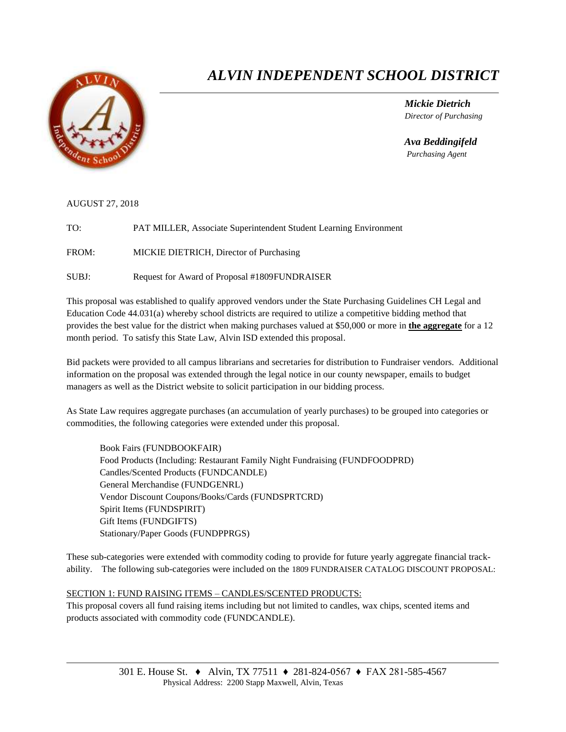

# *ALVIN INDEPENDENT SCHOOL DISTRICT*

 *Mickie Dietrich Director of Purchasing*

 *Ava Beddingifeld Purchasing Agent*

AUGUST 27, 2018

TO: PAT MILLER, Associate Superintendent Student Learning Environment

FROM: MICKIE DIETRICH, Director of Purchasing

SUBJ: Request for Award of Proposal #1809FUNDRAISER

This proposal was established to qualify approved vendors under the State Purchasing Guidelines CH Legal and Education Code 44.031(a) whereby school districts are required to utilize a competitive bidding method that provides the best value for the district when making purchases valued at \$50,000 or more in **the aggregate** for a 12 month period. To satisfy this State Law, Alvin ISD extended this proposal.

Bid packets were provided to all campus librarians and secretaries for distribution to Fundraiser vendors. Additional information on the proposal was extended through the legal notice in our county newspaper, emails to budget managers as well as the District website to solicit participation in our bidding process.

As State Law requires aggregate purchases (an accumulation of yearly purchases) to be grouped into categories or commodities, the following categories were extended under this proposal.

Book Fairs (FUNDBOOKFAIR) Food Products (Including: Restaurant Family Night Fundraising (FUNDFOODPRD) Candles/Scented Products (FUNDCANDLE) General Merchandise (FUNDGENRL) Vendor Discount Coupons/Books/Cards (FUNDSPRTCRD) Spirit Items (FUNDSPIRIT) Gift Items (FUNDGIFTS) Stationary/Paper Goods (FUNDPPRGS)

These sub-categories were extended with commodity coding to provide for future yearly aggregate financial trackability. The following sub-categories were included on the 1809 FUNDRAISER CATALOG DISCOUNT PROPOSAL:

#### SECTION 1: FUND RAISING ITEMS – CANDLES/SCENTED PRODUCTS:

This proposal covers all fund raising items including but not limited to candles, wax chips, scented items and products associated with commodity code (FUNDCANDLE).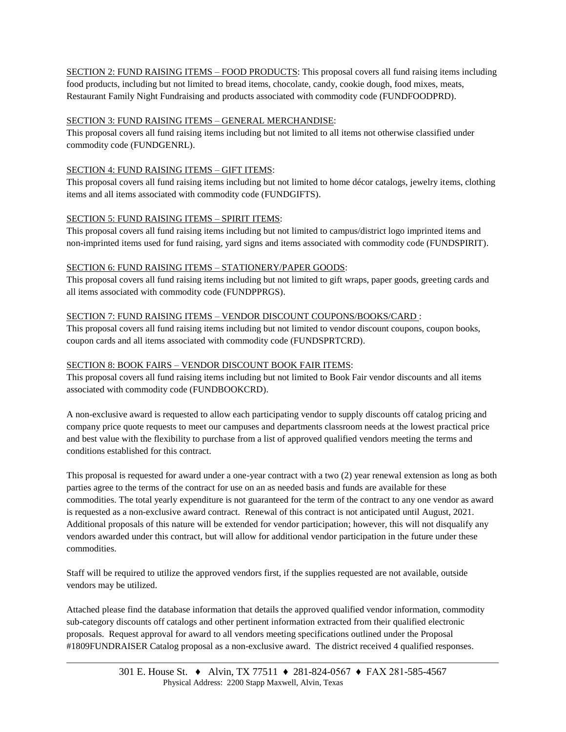SECTION 2: FUND RAISING ITEMS – FOOD PRODUCTS: This proposal covers all fund raising items including food products, including but not limited to bread items, chocolate, candy, cookie dough, food mixes, meats, Restaurant Family Night Fundraising and products associated with commodity code (FUNDFOODPRD).

#### SECTION 3: FUND RAISING ITEMS – GENERAL MERCHANDISE:

This proposal covers all fund raising items including but not limited to all items not otherwise classified under commodity code (FUNDGENRL).

### SECTION 4: FUND RAISING ITEMS – GIFT ITEMS:

This proposal covers all fund raising items including but not limited to home décor catalogs, jewelry items, clothing items and all items associated with commodity code (FUNDGIFTS).

### SECTION 5: FUND RAISING ITEMS – SPIRIT ITEMS:

This proposal covers all fund raising items including but not limited to campus/district logo imprinted items and non-imprinted items used for fund raising, yard signs and items associated with commodity code (FUNDSPIRIT).

### SECTION 6: FUND RAISING ITEMS – STATIONERY/PAPER GOODS:

This proposal covers all fund raising items including but not limited to gift wraps, paper goods, greeting cards and all items associated with commodity code (FUNDPPRGS).

### SECTION 7: FUND RAISING ITEMS – VENDOR DISCOUNT COUPONS/BOOKS/CARD :

This proposal covers all fund raising items including but not limited to vendor discount coupons, coupon books, coupon cards and all items associated with commodity code (FUNDSPRTCRD).

#### SECTION 8: BOOK FAIRS – VENDOR DISCOUNT BOOK FAIR ITEMS:

This proposal covers all fund raising items including but not limited to Book Fair vendor discounts and all items associated with commodity code (FUNDBOOKCRD).

A non-exclusive award is requested to allow each participating vendor to supply discounts off catalog pricing and company price quote requests to meet our campuses and departments classroom needs at the lowest practical price and best value with the flexibility to purchase from a list of approved qualified vendors meeting the terms and conditions established for this contract.

This proposal is requested for award under a one-year contract with a two (2) year renewal extension as long as both parties agree to the terms of the contract for use on an as needed basis and funds are available for these commodities. The total yearly expenditure is not guaranteed for the term of the contract to any one vendor as award is requested as a non-exclusive award contract. Renewal of this contract is not anticipated until August, 2021. Additional proposals of this nature will be extended for vendor participation; however, this will not disqualify any vendors awarded under this contract, but will allow for additional vendor participation in the future under these commodities.

Staff will be required to utilize the approved vendors first, if the supplies requested are not available, outside vendors may be utilized.

Attached please find the database information that details the approved qualified vendor information, commodity sub-category discounts off catalogs and other pertinent information extracted from their qualified electronic proposals. Request approval for award to all vendors meeting specifications outlined under the Proposal #1809FUNDRAISER Catalog proposal as a non-exclusive award. The district received 4 qualified responses.